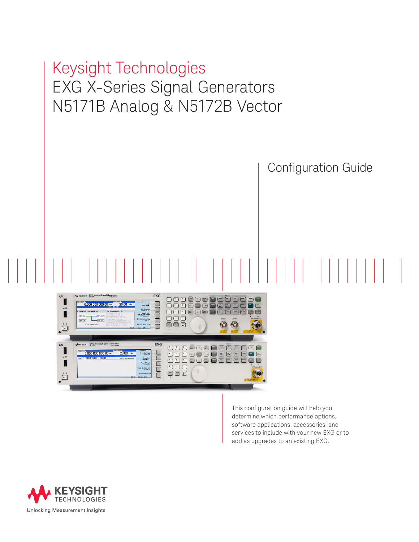# Keysight Technologies EXG X-Series Signal Generators N5171B Analog & N5172B Vector Configuration Guide



This configuration guide will help you determine which performance options, software applications, accessories, and services to include with your new EXG or to add as upgrades to an existing EXG.

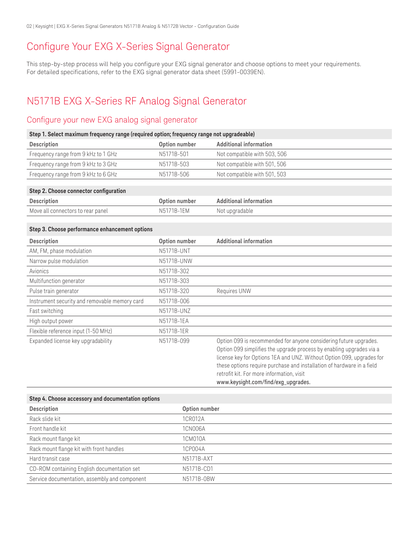# Configure Your EXG X-Series Signal Generator

This step-by-step process will help you configure your EXG signal generator and choose options to meet your requirements. For detailed specifications, refer to the EXG signal generator data sheet ([5991-0039EN\)](http://literature.cdn.keysight.com/litweb/pdf/5991-0039EN.pdf?id=2163727).

# N5171B EXG X-Series RF Analog Signal Generator

## Configure your new EXG analog signal generator

| Step 1. Select maximum frequency range (required option; frequency range not upgradeable) |               |                                                                                                                                                                                                                                                                                                                                                                                  |
|-------------------------------------------------------------------------------------------|---------------|----------------------------------------------------------------------------------------------------------------------------------------------------------------------------------------------------------------------------------------------------------------------------------------------------------------------------------------------------------------------------------|
| Description                                                                               | Option number | <b>Additional information</b>                                                                                                                                                                                                                                                                                                                                                    |
| Frequency range from 9 kHz to 1 GHz                                                       | N5171B-501    | Not compatible with 503, 506                                                                                                                                                                                                                                                                                                                                                     |
| Frequency range from 9 kHz to 3 GHz                                                       | N5171B-503    | Not compatible with 501, 506                                                                                                                                                                                                                                                                                                                                                     |
| Frequency range from 9 kHz to 6 GHz                                                       | N5171B-506    | Not compatible with 501, 503                                                                                                                                                                                                                                                                                                                                                     |
|                                                                                           |               |                                                                                                                                                                                                                                                                                                                                                                                  |
| Step 2. Choose connector configuration                                                    |               |                                                                                                                                                                                                                                                                                                                                                                                  |
| Description                                                                               | Option number | <b>Additional information</b>                                                                                                                                                                                                                                                                                                                                                    |
| Move all connectors to rear panel                                                         | N5171B-1EM    | Not upgradable                                                                                                                                                                                                                                                                                                                                                                   |
|                                                                                           |               |                                                                                                                                                                                                                                                                                                                                                                                  |
| Step 3. Choose performance enhancement options                                            |               |                                                                                                                                                                                                                                                                                                                                                                                  |
| Description                                                                               | Option number | <b>Additional information</b>                                                                                                                                                                                                                                                                                                                                                    |
| AM, FM, phase modulation                                                                  | N5171B-UNT    |                                                                                                                                                                                                                                                                                                                                                                                  |
| Narrow pulse modulation                                                                   | N5171B-UNW    |                                                                                                                                                                                                                                                                                                                                                                                  |
| Avionics                                                                                  | N5171B-302    |                                                                                                                                                                                                                                                                                                                                                                                  |
| Multifunction generator                                                                   | N5171B-303    |                                                                                                                                                                                                                                                                                                                                                                                  |
| Pulse train generator                                                                     | N5171B-320    | Requires UNW                                                                                                                                                                                                                                                                                                                                                                     |
| Instrument security and removable memory card                                             | N5171B-006    |                                                                                                                                                                                                                                                                                                                                                                                  |
| Fast switching                                                                            | N5171B-UNZ    |                                                                                                                                                                                                                                                                                                                                                                                  |
| High output power                                                                         | N5171B-1EA    |                                                                                                                                                                                                                                                                                                                                                                                  |
| Flexible reference input (1-50 MHz)                                                       | N5171B-1ER    |                                                                                                                                                                                                                                                                                                                                                                                  |
| Expanded license key upgradability                                                        | N5171B-099    | Option 099 is recommended for anyone considering future upgrades.<br>Option 099 simplifies the upgrade process by enabling upgrades via a<br>license key for Options 1EA and UNZ. Without Option 099, upgrades for<br>these options require purchase and installation of hardware in a field<br>retrofit kit. For more information, visit<br>www.keysight.com/find/exg_upgrades. |

| Step 4. Choose accessory and documentation options |               |  |
|----------------------------------------------------|---------------|--|
| Description                                        | Option number |  |
| Rack slide kit                                     | 1CR012A       |  |
| Front handle kit                                   | 1CN006A       |  |
| Rack mount flange kit                              | 1CM010A       |  |
| Rack mount flange kit with front handles           | 1CP004A       |  |
| Hard transit case                                  | N5171B-AXT    |  |
| CD-ROM containing English documentation set        | N5171B-CD1    |  |
| Service documentation, assembly and component      | N5171B-0BW    |  |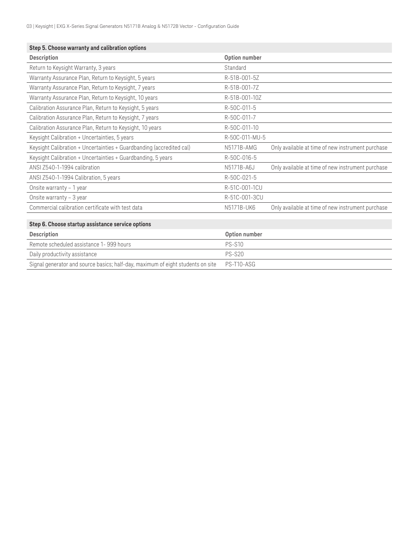| Step 5. Choose warranty and calibration options                                 |                |                                                   |
|---------------------------------------------------------------------------------|----------------|---------------------------------------------------|
| Description                                                                     | Option number  |                                                   |
| Return to Keysight Warranty, 3 years                                            | Standard       |                                                   |
| Warranty Assurance Plan, Return to Keysight, 5 years                            | R-51B-001-5Z   |                                                   |
| Warranty Assurance Plan, Return to Keysight, 7 years                            | R-51B-001-7Z   |                                                   |
| Warranty Assurance Plan, Return to Keysight, 10 years                           | R-51B-001-10Z  |                                                   |
| Calibration Assurance Plan, Return to Keysight, 5 years                         | R-50C-011-5    |                                                   |
| Calibration Assurance Plan, Return to Keysight, 7 years                         | R-50C-011-7    |                                                   |
| Calibration Assurance Plan, Return to Keysight, 10 years                        | R-50C-011-10   |                                                   |
| Keysight Calibration + Uncertainties, 5 years                                   | R-50C-011-MU-5 |                                                   |
| Keysight Calibration + Uncertainties + Guardbanding (accredited cal)            | N5171B-AMG     | Only available at time of new instrument purchase |
| Keysight Calibration + Uncertainties + Guardbanding, 5 years                    | R-50C-016-5    |                                                   |
| ANSI Z540-1-1994 calibration                                                    | N5171B-A6J     | Only available at time of new instrument purchase |
| ANSI Z540-1-1994 Calibration, 5 years                                           | R-50C-021-5    |                                                   |
| Onsite warranty - 1 year                                                        | R-51C-001-1CU  |                                                   |
| Onsite warranty - 3 year                                                        | R-51C-001-3CU  |                                                   |
| Commercial calibration certificate with test data                               | N5171B-UK6     | Only available at time of new instrument purchase |
|                                                                                 |                |                                                   |
| Step 6. Choose startup assistance service options                               |                |                                                   |
| Description                                                                     | Option number  |                                                   |
| Remote scheduled assistance 1-999 hours                                         | <b>PS-S10</b>  |                                                   |
| Daily productivity assistance                                                   | <b>PS-S20</b>  |                                                   |
| Signal generator and source basics; half-day, maximum of eight students on site | PS-T10-ASG     |                                                   |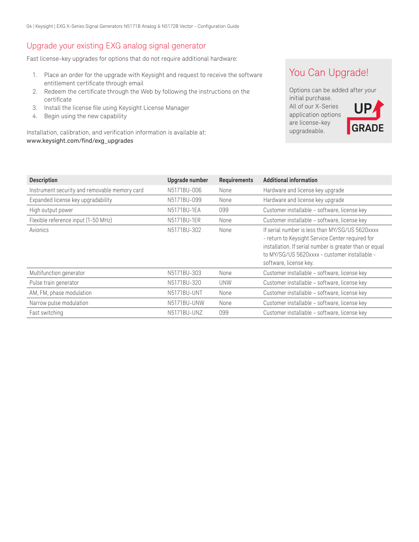## Upgrade your existing EXG analog signal generator

Fast license-key upgrades for options that do not require additional hardware:

- 1. Place an order for the upgrade with Keysight and request to receive the software entitlement certificate through email
- 2. Redeem the certificate through the Web by following the instructions on the certificate
- 3. Install the license file using Keysight License Manager
- 4. Begin using the new capability

Installation, calibration, and verification information is available at: [www.keysight.com/find/exg\\_upgrades](www.keysight.com/find/exg_upgrades)

## You Can Upgrade!

Options can be added after your initial purchase. All of our X-Series application options are license-key upgradeable. **UP GRADE**

| <b>Description</b>                            | Upgrade number | Requirements | Additional information                                                                                                                                                                                                                    |
|-----------------------------------------------|----------------|--------------|-------------------------------------------------------------------------------------------------------------------------------------------------------------------------------------------------------------------------------------------|
| Instrument security and removable memory card | N5171BU-006    | None         | Hardware and license key upgrade                                                                                                                                                                                                          |
| Expanded license key upgradability            | N5171BU-099    | None         | Hardware and license key upgrade                                                                                                                                                                                                          |
| High output power                             | N5171BU-1EA    | 099          | Customer installable - software, license key                                                                                                                                                                                              |
| Flexible reference input (1-50 MHz)           | N5171BU-1ER    | None         | Customer installable - software, license key                                                                                                                                                                                              |
| Avionics                                      | N5171BU-302    | None         | If serial number is less than MY/SG/US 5620xxxx<br>- return to Keysight Service Center required for<br>installation. If serial number is greater than or equal<br>to MY/SG/US 5620xxxx - customer installable -<br>software, license key. |
| Multifunction generator                       | N5171BU-303    | None         | Customer installable – software, license key                                                                                                                                                                                              |
| Pulse train generator                         | N5171BU-320    | <b>UNW</b>   | Customer installable - software, license key                                                                                                                                                                                              |
| AM, FM, phase modulation                      | N5171BU-UNT    | None         | Customer installable - software, license key                                                                                                                                                                                              |
| Narrow pulse modulation                       | N5171BU-UNW    | None         | Customer installable - software, license key                                                                                                                                                                                              |
| Fast switching                                | N5171BU-UNZ    | 099          | Customer installable – software, license key                                                                                                                                                                                              |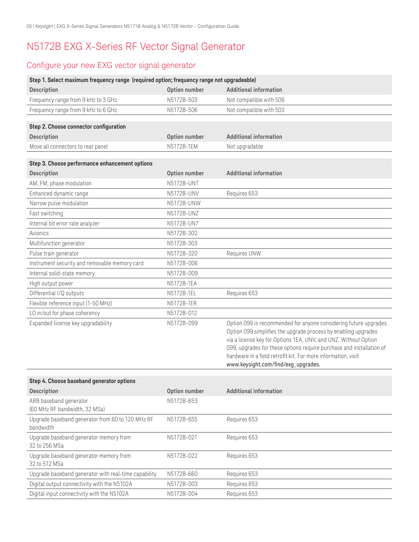# N5172B EXG X-Series RF Vector Signal Generator

## Configure your new EXG vector signal generator

| Step 1. Select maximum frequency range (required option; frequency range not upgradeable) |               |                                                                                                                                                                                                                                                                                                                                                                                        |
|-------------------------------------------------------------------------------------------|---------------|----------------------------------------------------------------------------------------------------------------------------------------------------------------------------------------------------------------------------------------------------------------------------------------------------------------------------------------------------------------------------------------|
| Description                                                                               | Option number | <b>Additional information</b>                                                                                                                                                                                                                                                                                                                                                          |
| Frequency range from 9 kHz to 3 GHz                                                       | N5172B-503    | Not compatible with 506                                                                                                                                                                                                                                                                                                                                                                |
| Frequency range from 9 kHz to 6 GHz                                                       | N5172B-506    | Not compatible with 503                                                                                                                                                                                                                                                                                                                                                                |
|                                                                                           |               |                                                                                                                                                                                                                                                                                                                                                                                        |
| Step 2. Choose connector configuration                                                    |               |                                                                                                                                                                                                                                                                                                                                                                                        |
| Description                                                                               | Option number | <b>Additional information</b>                                                                                                                                                                                                                                                                                                                                                          |
| Move all connectors to rear panel                                                         | N5172B-1EM    | Not upgradable                                                                                                                                                                                                                                                                                                                                                                         |
| Step 3. Choose performance enhancement options                                            |               |                                                                                                                                                                                                                                                                                                                                                                                        |
| <b>Description</b>                                                                        | Option number | <b>Additional information</b>                                                                                                                                                                                                                                                                                                                                                          |
| AM, FM, phase modulation                                                                  | N5172B-UNT    |                                                                                                                                                                                                                                                                                                                                                                                        |
| Enhanced dynamic range                                                                    | N5172B-UNV    | Requires 653                                                                                                                                                                                                                                                                                                                                                                           |
| Narrow pulse modulation                                                                   | N5172B-UNW    |                                                                                                                                                                                                                                                                                                                                                                                        |
| Fast switching                                                                            | N5172B-UNZ    |                                                                                                                                                                                                                                                                                                                                                                                        |
| Internal bit error rate analyzer                                                          | N5172B-UN7    |                                                                                                                                                                                                                                                                                                                                                                                        |
| Avionics                                                                                  | N5172B-302    |                                                                                                                                                                                                                                                                                                                                                                                        |
| Multifunction generator                                                                   | N5172B-303    |                                                                                                                                                                                                                                                                                                                                                                                        |
| Pulse train generator                                                                     | N5172B-320    | Requires UNW                                                                                                                                                                                                                                                                                                                                                                           |
| Instrument security and removable memory card                                             | N5172B-006    |                                                                                                                                                                                                                                                                                                                                                                                        |
| Internal solid-state memory                                                               | N5172B-009    |                                                                                                                                                                                                                                                                                                                                                                                        |
| High output power                                                                         | N5172B-1EA    |                                                                                                                                                                                                                                                                                                                                                                                        |
| Differential I/Q outputs                                                                  | N5172B-1EL    | Requires 653                                                                                                                                                                                                                                                                                                                                                                           |
| Flexible reference input (1-50 MHz)                                                       | N5172B-1ER    |                                                                                                                                                                                                                                                                                                                                                                                        |
| LO in/out for phase coherency                                                             | N5172B-012    |                                                                                                                                                                                                                                                                                                                                                                                        |
| Expanded license key upgradability                                                        | N5172B-099    | Option 099 is recommended for anyone considering future upgrades.<br>Option 099 simplifies the upgrade process by enabling upgrades<br>via a license key for Options 1EA, UNV, and UNZ. Without Option<br>099, upgrades for these options require purchase and installation of<br>hardware in a field retrofit kit. For more information, visit<br>www.keysight.com/find/exg_upgrades. |
|                                                                                           |               |                                                                                                                                                                                                                                                                                                                                                                                        |
| Step 4. Choose baseband generator options<br>Description                                  | Option number | <b>Additional information</b>                                                                                                                                                                                                                                                                                                                                                          |
| ARB baseband generator<br>(60 MHz RF bandwidth, 32 MSa)                                   | N5172B-653    |                                                                                                                                                                                                                                                                                                                                                                                        |
| Upgrade baseband generator from 60 to 120 MHz RF<br>bandwidth                             | N5172B-655    | Requires 653                                                                                                                                                                                                                                                                                                                                                                           |
| Upgrade baseband generator memory from<br>32 to 256 MSa                                   | N5172B-021    | Requires 653                                                                                                                                                                                                                                                                                                                                                                           |
| Upgrade baseband generator memory from<br>32 to 512 MSa                                   | N5172B-022    | Requires 653                                                                                                                                                                                                                                                                                                                                                                           |
| Upgrade baseband generator with real-time capability                                      | N5172B-660    | Requires 653                                                                                                                                                                                                                                                                                                                                                                           |
| Digital output connectivity with the N5102A                                               | N5172B-003    | Requires 653                                                                                                                                                                                                                                                                                                                                                                           |
| Digital input connectivity with the N5102A                                                | N5172B-004    | Requires 653                                                                                                                                                                                                                                                                                                                                                                           |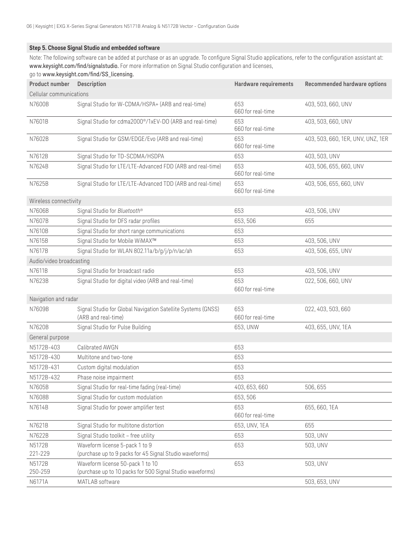#### **Step 5. Choose Signal Studio and embedded software**

Note: The following software can be added at purchase or as an upgrade. To configure Signal Studio applications, refer to the configuration assistant at: <www.keysight.com/find/signalstudio>. For more information on Signal Studio configuration and licenses, go to [www.keysight.com/find/SS\\_licensing](www.keysight.com/find/SS_licensing).

| <b>Product number Description</b> |                                                                                               | Hardware requirements    | <b>Recommended hardware options</b> |
|-----------------------------------|-----------------------------------------------------------------------------------------------|--------------------------|-------------------------------------|
| Cellular communications           |                                                                                               |                          |                                     |
| N7600B                            | Signal Studio for W-CDMA/HSPA+ (ARB and real-time)                                            | 653<br>660 for real-time | 403, 503, 660, UNV                  |
| N7601B                            | Signal Studio for cdma2000 <sup>®</sup> /1xEV-DO (ARB and real-time)                          | 653<br>660 for real-time | 403, 503, 660, UNV                  |
| N7602B                            | Signal Studio for GSM/EDGE/Evo (ARB and real-time)                                            | 653<br>660 for real-time | 403, 503, 660, 1ER, UNV, UNZ, 1ER   |
| N7612B                            | Signal Studio for TD-SCDMA/HSDPA                                                              | 653                      | 403, 503, UNV                       |
| N7624B                            | Signal Studio for LTE/LTE-Advanced FDD (ARB and real-time)                                    | 653<br>660 for real-time | 403, 506, 655, 660, UNV             |
| N7625B                            | Signal Studio for LTE/LTE-Advanced TDD (ARB and real-time)                                    | 653<br>660 for real-time | 403, 506, 655, 660, UNV             |
| Wireless connectivity             |                                                                                               |                          |                                     |
| N7606B                            | Signal Studio for Bluetooth®                                                                  | 653                      | 403, 506, UNV                       |
| N7607B                            | Signal Studio for DFS radar profiles                                                          | 653, 506                 | 655                                 |
| N7610B                            | Signal Studio for short range communications                                                  | 653                      |                                     |
| N7615B                            | Signal Studio for Mobile WiMAX™                                                               | 653                      | 403, 506, UNV                       |
| N7617B                            | Signal Studio for WLAN 802.11a/b/g/j/p/n/ac/ah                                                | 653                      | 403, 506, 655, UNV                  |
| Audio/video broadcasting          |                                                                                               |                          |                                     |
| N7611B                            | Signal Studio for broadcast radio                                                             | 653                      | 403, 506, UNV                       |
| N7623B                            | Signal Studio for digital video (ARB and real-time)                                           | 653<br>660 for real-time | 022, 506, 660, UNV                  |
| Navigation and radar              |                                                                                               |                          |                                     |
| N7609B                            | Signal Studio for Global Navigation Satellite Systems (GNSS)<br>(ARB and real-time)           | 653<br>660 for real-time | 022, 403, 503, 660                  |
| N7620B                            | Signal Studio for Pulse Building                                                              | 653, UNW                 | 403, 655, UNV, 1EA                  |
| General purpose                   |                                                                                               |                          |                                     |
| N5172B-403                        | Calibrated AWGN                                                                               | 653                      |                                     |
| N5172B-430                        | Multitone and two-tone                                                                        | 653                      |                                     |
| N5172B-431                        | Custom digital modulation                                                                     | 653                      |                                     |
| N5172B-432                        | Phase noise impairment                                                                        | 653                      |                                     |
| N7605B                            | Signal Studio for real-time fading (real-time)                                                | 403, 653, 660            | 506, 655                            |
| N7608B                            | Signal Studio for custom modulation                                                           | 653,506                  |                                     |
| N7614B                            | Signal Studio for power amplifier test                                                        | 653<br>660 for real-time | 655, 660, 1EA                       |
| N7621B                            | Signal Studio for multitone distortion                                                        | 653, UNV, 1EA            | 655                                 |
| N7622B                            | Signal Studio toolkit - free utility                                                          | 653                      | 503, UNV                            |
| N5172B                            | Waveform license 5-pack 1 to 9                                                                | 653                      | 503, UNV                            |
| 221-229                           | (purchase up to 9 packs for 45 Signal Studio waveforms)                                       |                          |                                     |
| N5172B<br>250-259                 | Waveform license 50-pack 1 to 10<br>(purchase up to 10 packs for 500 Signal Studio waveforms) | 653                      | 503, UNV                            |
| N6171A                            | MATLAB software                                                                               |                          | 503, 653, UNV                       |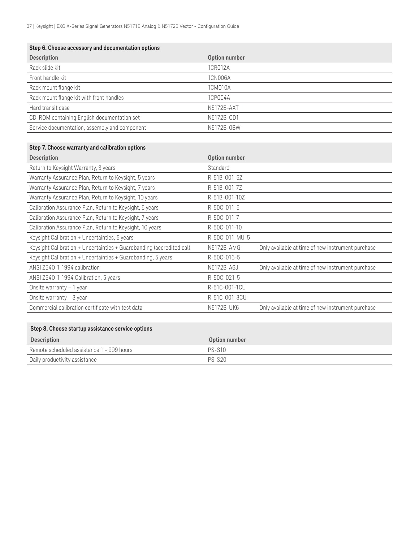| Step 6. Choose accessory and documentation options |               |  |
|----------------------------------------------------|---------------|--|
| Description                                        | Option number |  |
| Rack slide kit                                     | 1CR012A       |  |
| Front handle kit                                   | 1CN006A       |  |
| Rack mount flange kit                              | 1CM010A       |  |
| Rack mount flange kit with front handles           | 1CP004A       |  |
| Hard transit case                                  | N5172B-AXT    |  |
| CD-ROM containing English documentation set        | N5172B-CD1    |  |
| Service documentation, assembly and component      | N5172B-0BW    |  |

### **Step 7. Choose warranty and calibration options**

| <b>Description</b>                                                   | Option number  |                                                   |
|----------------------------------------------------------------------|----------------|---------------------------------------------------|
| Return to Keysight Warranty, 3 years                                 | Standard       |                                                   |
| Warranty Assurance Plan, Return to Keysight, 5 years                 | R-51B-001-5Z   |                                                   |
| Warranty Assurance Plan, Return to Keysight, 7 years                 | R-51B-001-7Z   |                                                   |
| Warranty Assurance Plan, Return to Keysight, 10 years                | R-51B-001-10Z  |                                                   |
| Calibration Assurance Plan, Return to Keysight, 5 years              | R-50C-011-5    |                                                   |
| Calibration Assurance Plan, Return to Keysight, 7 years              | R-50C-011-7    |                                                   |
| Calibration Assurance Plan, Return to Keysight, 10 years             | R-50C-011-10   |                                                   |
| Keysight Calibration + Uncertainties, 5 years                        | R-50C-011-MU-5 |                                                   |
| Keysight Calibration + Uncertainties + Guardbanding (accredited cal) | N5172B-AMG     | Only available at time of new instrument purchase |
| Keysight Calibration + Uncertainties + Guardbanding, 5 years         | R-50C-016-5    |                                                   |
| ANSI Z540-1-1994 calibration                                         | N5172B-A6J     | Only available at time of new instrument purchase |
| ANSI Z540-1-1994 Calibration, 5 years                                | R-50C-021-5    |                                                   |
| Onsite warranty - 1 year                                             | R-51C-001-1CU  |                                                   |
| Onsite warranty - 3 year                                             | R-51C-001-3CU  |                                                   |
| Commercial calibration certificate with test data                    | N5172B-UK6     | Only available at time of new instrument purchase |

## **Step 8. Choose startup assistance service options**

| Description                               | Option number |
|-------------------------------------------|---------------|
| Remote scheduled assistance 1 - 999 hours | <b>PS-S10</b> |
| Daily productivity assistance             | $PS-S20$      |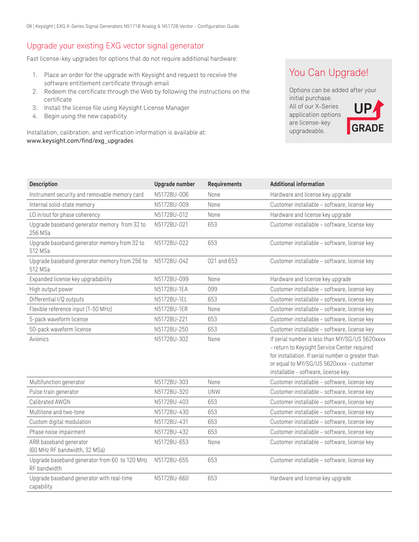## Upgrade your existing EXG vector signal generator

Fast license-key upgrades for options that do not require additional hardware:

- 1. Place an order for the upgrade with Keysight and request to receive the software entitlement certificate through email
- 2. Redeem the certificate through the Web by following the instructions on the certificate
- 3. Install the license file using Keysight License Manager
- 4. Begin using the new capability

Installation, calibration, and verification information is available at: [www.keysight.com/find/exg\\_upgrades](www.keysight.com/find/exg_upgrades)

## You Can Upgrade!

Options can be added after your initial purchase. All of our X-Series application options are license-key upgradeable. **UP GRADE**

| <b>Description</b>                                            | Upgrade number | <b>Requirements</b> | <b>Additional information</b>                                                                                                                                                                                                             |
|---------------------------------------------------------------|----------------|---------------------|-------------------------------------------------------------------------------------------------------------------------------------------------------------------------------------------------------------------------------------------|
| Instrument security and removable memory card                 | N5172BU-006    | None                | Hardware and license key upgrade                                                                                                                                                                                                          |
| Internal solid-state memory                                   | N5172BU-009    | None                | Customer installable - software, license key                                                                                                                                                                                              |
| LO in/out for phase coherency                                 | N5172BU-012    | None                | Hardware and license key upgrade                                                                                                                                                                                                          |
| Upgrade baseband generator memory from 32 to<br>256 MSa       | N5172BU-021    | 653                 | Customer installable - software, license key                                                                                                                                                                                              |
| Upgrade baseband generator memory from 32 to<br>512 MSa       | N5172BU-022    | 653                 | Customer installable - software, license key                                                                                                                                                                                              |
| Upgrade baseband generator memory from 256 to<br>512 MSa      | N5172BU-042    | 021 and 653         | Customer installable - software, license key                                                                                                                                                                                              |
| Expanded license key upgradability                            | N5172BU-099    | None                | Hardware and license key upgrade                                                                                                                                                                                                          |
| High output power                                             | N5172BU-1EA    | 099                 | Customer installable - software, license key                                                                                                                                                                                              |
| Differential I/Q outputs                                      | N5172BU-1EL    | 653                 | Customer installable - software, license key                                                                                                                                                                                              |
| Flexible reference input (1-50 MHz)                           | N5172BU-1ER    | None                | Customer installable - software, license key                                                                                                                                                                                              |
| 5-pack waveform license                                       | N5172BU-221    | 653                 | Customer installable - software, license key                                                                                                                                                                                              |
| 50-pack waveform license                                      | N5172BU-250    | 653                 | Customer installable - software, license key                                                                                                                                                                                              |
| Avionics                                                      | N5172BU-302    | None                | If serial number is less than MY/SG/US 5620xxxx<br>- return to Keysight Service Center required<br>for installation. If serial number is greater than<br>or equal to MY/SG/US 5620xxxx - customer<br>installable - software, license key. |
| Multifunction generator                                       | N5172BU-303    | None                | Customer installable - software, license key                                                                                                                                                                                              |
| Pulse train generator                                         | N5172BU-320    | <b>UNW</b>          | Customer installable - software, license key                                                                                                                                                                                              |
| Calibrated AWGN                                               | N5172BU-403    | 653                 | Customer installable - software, license key                                                                                                                                                                                              |
| Multitone and two-tone                                        | N5172BU-430    | 653                 | Customer installable - software, license key                                                                                                                                                                                              |
| Custom digital modulation                                     | N5172BU-431    | 653                 | Customer installable - software, license key                                                                                                                                                                                              |
| Phase noise impairment                                        | N5172BU-432    | 653                 | Customer installable - software, license key                                                                                                                                                                                              |
| ARB baseband generator<br>(60 MHz RF bandwidth, 32 MSa)       | N5172BU-653    | None                | Customer installable - software, license key                                                                                                                                                                                              |
| Upgrade baseband generator from 60 to 120 MHz<br>RF bandwidth | N5172BU-655    | 653                 | Customer installable - software, license key                                                                                                                                                                                              |
| Upgrade baseband generator with real-time<br>capability       | N5172BU-660    | 653                 | Hardware and license key upgrade                                                                                                                                                                                                          |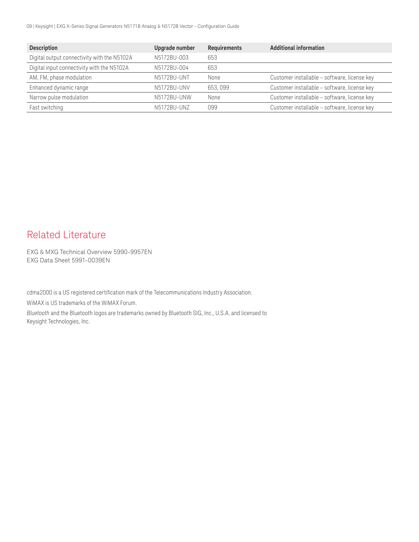09 | Keysight | EXG X-Series Signal Generators N5171B Analog & N5172B Vector - Configuration Guide

| <b>Description</b>                          | Upgrade number | <b>Requirements</b> | <b>Additional information</b>                |
|---------------------------------------------|----------------|---------------------|----------------------------------------------|
| Digital output connectivity with the N5102A | N5172BU-003    | 653                 |                                              |
| Digital input connectivity with the N5102A  | N5172BU-004    | 653                 |                                              |
| AM, FM, phase modulation                    | N5172BU-UNT    | None                | Customer installable - software, license key |
| Enhanced dynamic range                      | N5172BU-UNV    | 653.099             | Customer installable - software, license key |
| Narrow pulse modulation                     | N5172BU-UNW    | None                | Customer installable - software, license key |
| Fast switching                              | N5172BU-UNZ    | 099                 | Customer installable - software, license key |

# Related Literature

[EXG & MXG Technical Overview 5990-9957EN](http://literature.cdn.keysight.com/litweb/pdf/5990-9957EN) [EXG Data Sheet 5991-0039EN](http://literature.cdn.keysight.com/litweb/pdf/5991-0039EN)

cdma2000 is a US registered certification mark of the Telecommunications Industry Association.

WiMAX is US trademarks of the WiMAX Forum.

*Bluetooth* and the Bluetooth logos are trademarks owned by Bluetooth SIG, Inc., U.S.A. and licensed to Keysight Technologies, Inc.